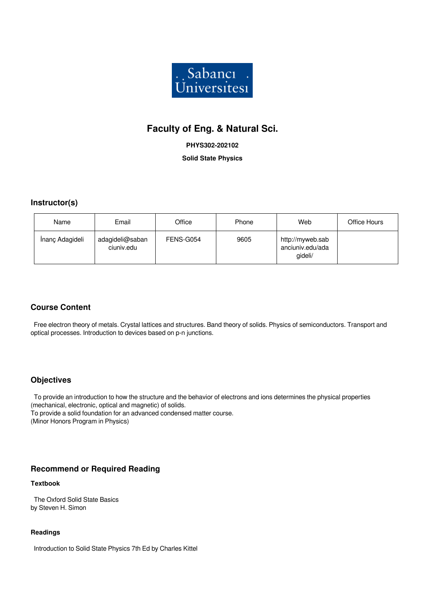

# **Faculty of Eng. & Natural Sci.**

**PHYS302-202102**

**Solid State Physics**

## **Instructor(s)**

| Name            | Email                         | Office    | Phone | Web                                             | Office Hours |
|-----------------|-------------------------------|-----------|-------|-------------------------------------------------|--------------|
| İnanç Adagideli | adagideli@saban<br>ciuniv.edu | FENS-G054 | 9605  | http://myweb.sab<br>anciuniv.edu/ada<br>gideli/ |              |

## **Course Content**

 Free electron theory of metals. Crystal lattices and structures. Band theory of solids. Physics of semiconductors. Transport and optical processes. Introduction to devices based on p-n junctions.

## **Objectives**

 To provide an introduction to how the structure and the behavior of electrons and ions determines the physical properties (mechanical, electronic, optical and magnetic) of solids. To provide a solid foundation for an advanced condensed matter course. (Minor Honors Program in Physics)

## **Recommend or Required Reading**

#### **Textbook**

 The Oxford Solid State Basics by Steven H. Simon

#### **Readings**

Introduction to Solid State Physics 7th Ed by Charles Kittel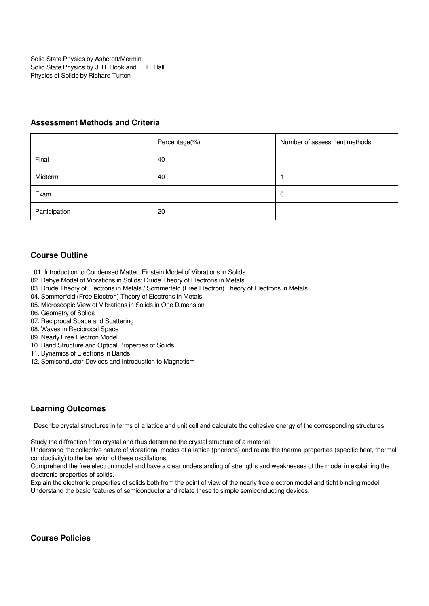Solid State Physics by Ashcroft/Mermin Solid State Physics by J. R. Hook and H. E. Hall Physics of Solids by Richard Turton

### **Assessment Methods and Criteria**

|               | Percentage(%) | Number of assessment methods |
|---------------|---------------|------------------------------|
| Final         | 40            |                              |
| Midterm       | 40            |                              |
| Exam          |               | 0                            |
| Participation | 20            |                              |

## **Course Outline**

- 01. Introduction to Condensed Matter; Einstein Model of Vibrations in Solids
- 02. Debye Model of Vibrations in Solids; Drude Theory of Electrons in Metals
- 03. Drude Theory of Electrons in Metals / Sommerfeld (Free Electron) Theory of Electrons in Metals
- 04. Sommerfeld (Free Electron) Theory of Electrons in Metals
- 05. Microscopic View of Vibrations in Solids in One Dimension
- 06. Geometry of Solids
- 07. Reciprocal Space and Scattering
- 08. Waves in Reciprocal Space
- 09. Nearly Free Electron Model
- 10. Band Structure and Optical Properties of Solids
- 11. Dynamics of Electrons in Bands
- 12. Semiconductor Devices and Introduction to Magnetism

## **Learning Outcomes**

Describe crystal structures in terms of a lattice and unit cell and calculate the cohesive energy of the corresponding structures.

Study the diffraction from crystal and thus determine the crystal structure of a material.

Understand the collective nature of vibrational modes of a lattice (phonons) and relate the thermal properties (specific heat, thermal conductivity) to the behavior of these oscillations.

Comprehend the free electron model and have a clear understanding of strengths and weaknesses of the model in explaining the electronic properties of solids.

Explain the electronic properties of solids both from the point of view of the nearly free electron model and tight binding model. Understand the basic features of semiconductor and relate these to simple semiconducting devices.

**Course Policies**